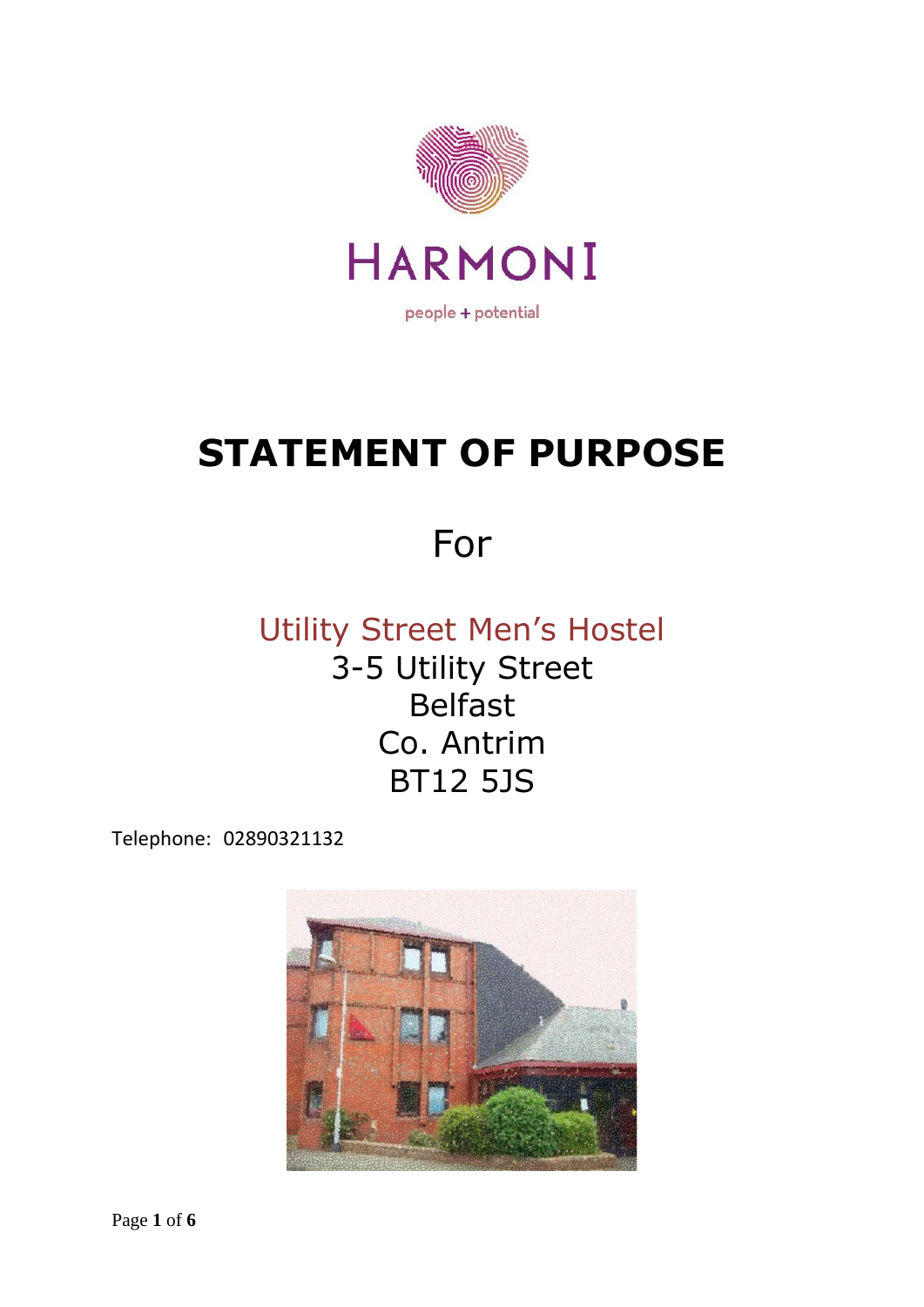

# **STATEMENT OF PURPOSE**

# For

## Utility Street Men's Hostel 3-5 Utility Street Belfast Co. Antrim BT12 5JS

Telephone: 02890321132

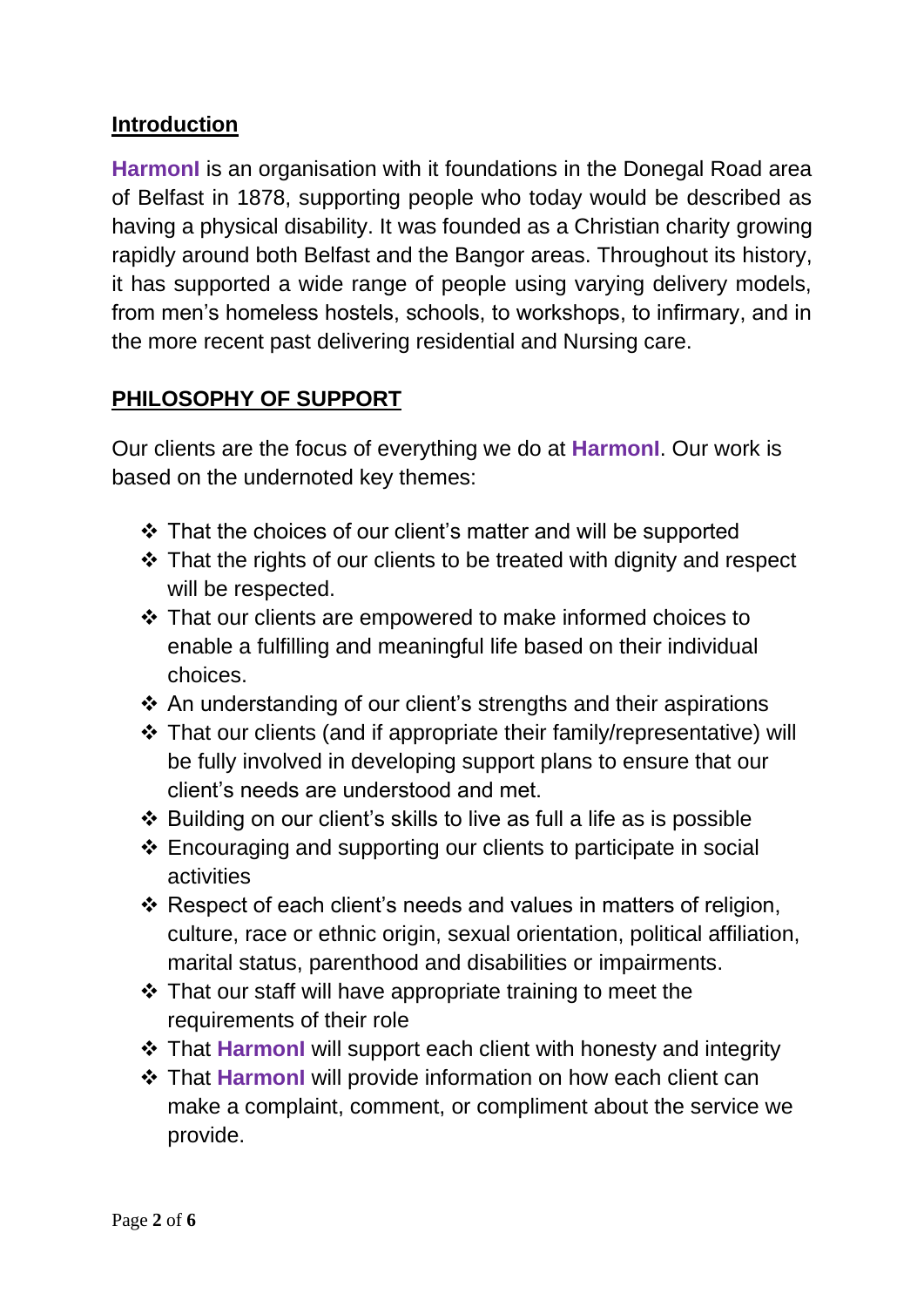#### **Introduction**

**HarmonI** is an organisation with it foundations in the Donegal Road area of Belfast in 1878, supporting people who today would be described as having a physical disability. It was founded as a Christian charity growing rapidly around both Belfast and the Bangor areas. Throughout its history, it has supported a wide range of people using varying delivery models, from men's homeless hostels, schools, to workshops, to infirmary, and in the more recent past delivering residential and Nursing care.

#### **PHILOSOPHY OF SUPPORT**

Our clients are the focus of everything we do at **HarmonI**. Our work is based on the undernoted key themes:

- ❖ That the choices of our client's matter and will be supported
- ❖ That the rights of our clients to be treated with dignity and respect will be respected.
- ❖ That our clients are empowered to make informed choices to enable a fulfilling and meaningful life based on their individual choices.
- ❖ An understanding of our client's strengths and their aspirations
- ❖ That our clients (and if appropriate their family/representative) will be fully involved in developing support plans to ensure that our client's needs are understood and met.
- ❖ Building on our client's skills to live as full a life as is possible
- ❖ Encouraging and supporting our clients to participate in social activities
- ❖ Respect of each client's needs and values in matters of religion, culture, race or ethnic origin, sexual orientation, political affiliation, marital status, parenthood and disabilities or impairments.
- ❖ That our staff will have appropriate training to meet the requirements of their role
- ❖ That **HarmonI** will support each client with honesty and integrity
- ❖ That **HarmonI** will provide information on how each client can make a complaint, comment, or compliment about the service we provide.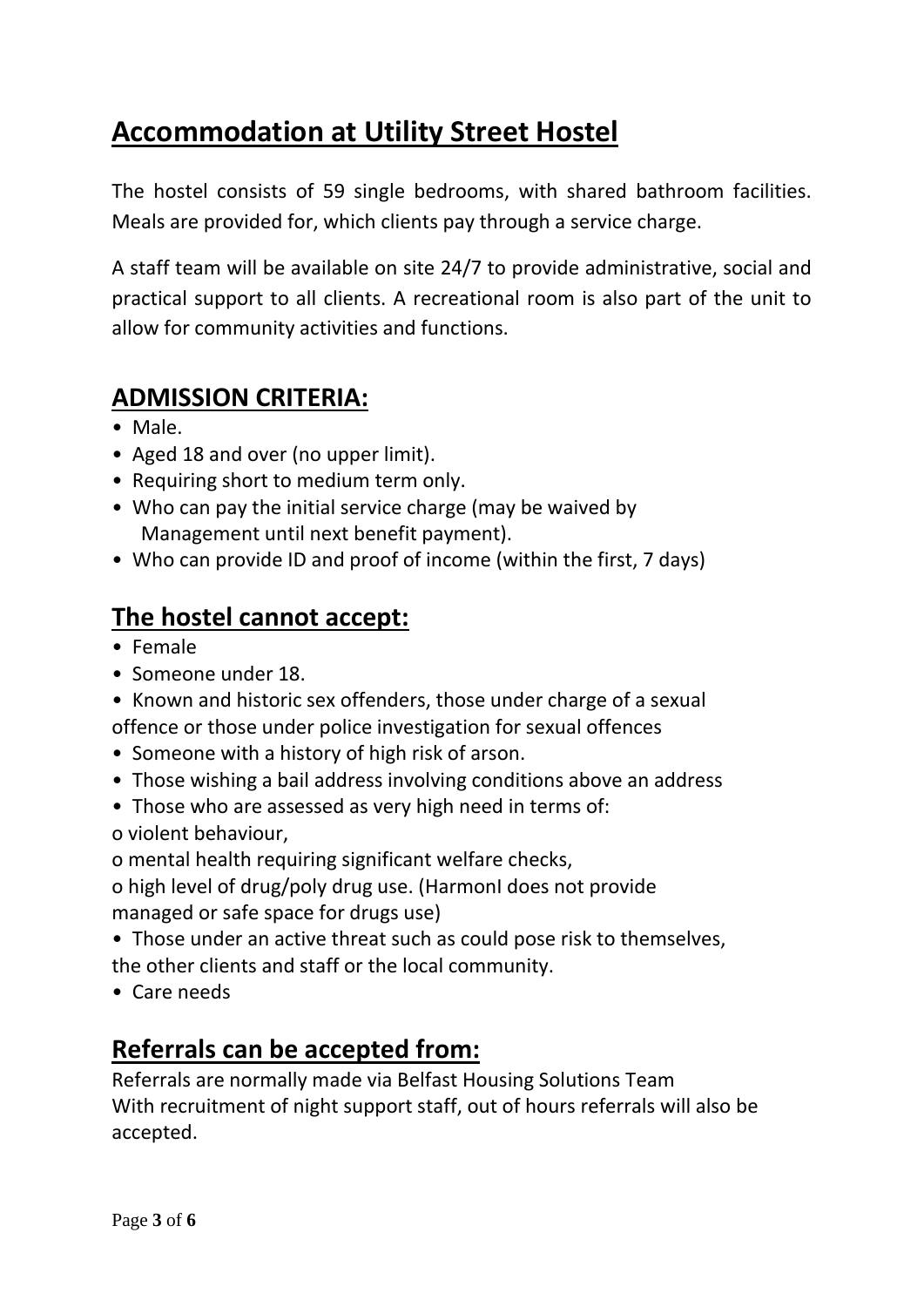## **Accommodation at Utility Street Hostel**

The hostel consists of 59 single bedrooms, with shared bathroom facilities. Meals are provided for, which clients pay through a service charge.

A staff team will be available on site 24/7 to provide administrative, social and practical support to all clients. A recreational room is also part of the unit to allow for community activities and functions.

### **ADMISSION CRITERIA:**

- Male.
- Aged 18 and over (no upper limit).
- Requiring short to medium term only.
- Who can pay the initial service charge (may be waived by Management until next benefit payment).
- Who can provide ID and proof of income (within the first, 7 days)

### **The hostel cannot accept:**

- Female
- Someone under 18.
- Known and historic sex offenders, those under charge of a sexual offence or those under police investigation for sexual offences
- Someone with a history of high risk of arson.
- Those wishing a bail address involving conditions above an address
- Those who are assessed as very high need in terms of:

o violent behaviour,

o mental health requiring significant welfare checks,

o high level of drug/poly drug use. (HarmonI does not provide managed or safe space for drugs use)

• Those under an active threat such as could pose risk to themselves, the other clients and staff or the local community.

• Care needs

## **Referrals can be accepted from:**

Referrals are normally made via Belfast Housing Solutions Team With recruitment of night support staff, out of hours referrals will also be accepted.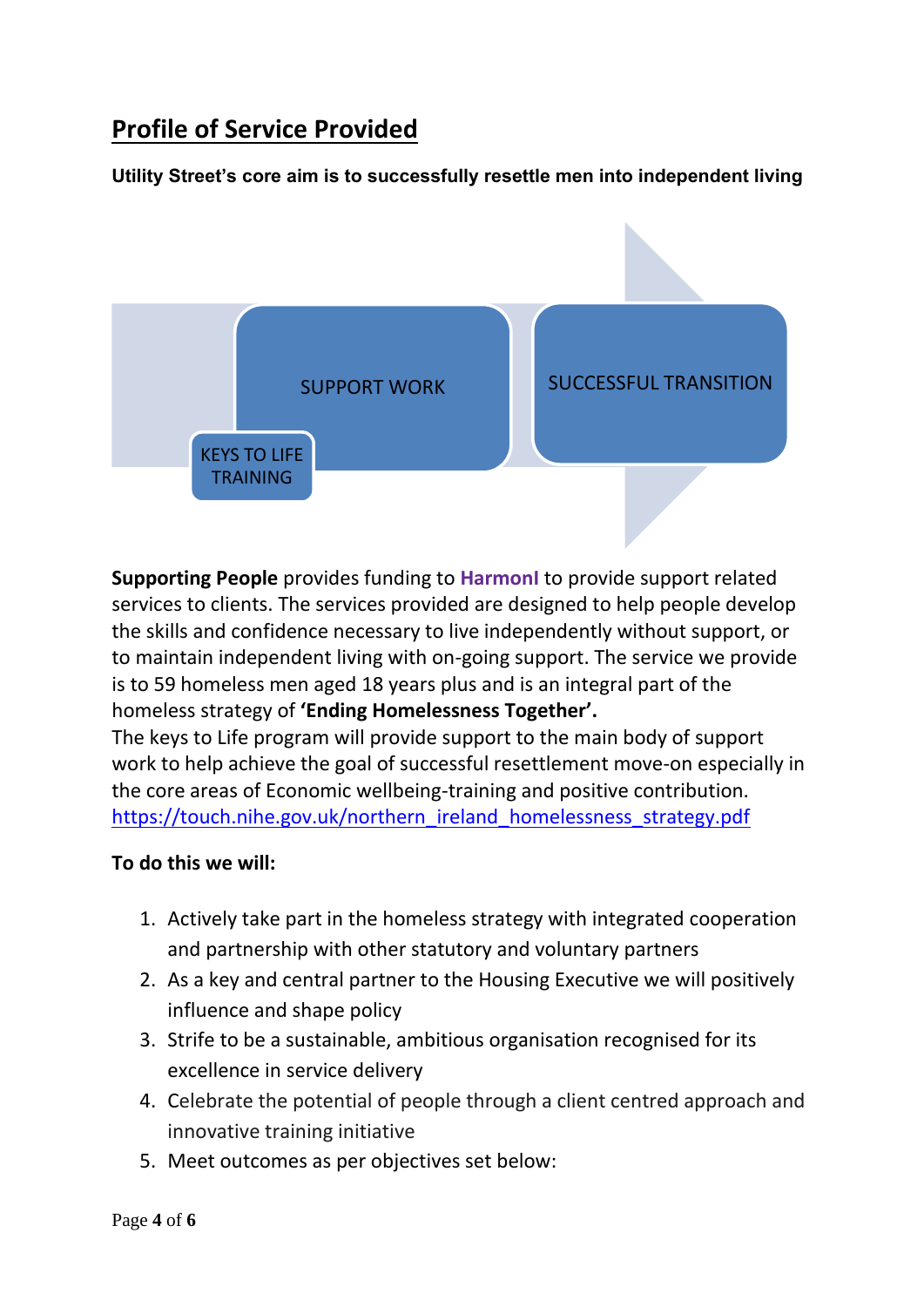## **Profile of Service Provided**

#### **Utility Street's core aim is to successfully resettle men into independent living**



**Supporting People** provides funding to **HarmonI** to provide support related services to clients. The services provided are designed to help people develop the skills and confidence necessary to live independently without support, or to maintain independent living with on-going support. The service we provide is to 59 homeless men aged 18 years plus and is an integral part of the homeless strategy of **'Ending Homelessness Together'.**

The keys to Life program will provide support to the main body of support work to help achieve the goal of successful resettlement move-on especially in the core areas of Economic wellbeing-training and positive contribution. [https://touch.nihe.gov.uk/northern\\_ireland\\_homelessness\\_strategy.pdf](https://touch.nihe.gov.uk/northern_ireland_homelessness_strategy.pdf)

#### **To do this we will:**

- 1. Actively take part in the homeless strategy with integrated cooperation and partnership with other statutory and voluntary partners
- 2. As a key and central partner to the Housing Executive we will positively influence and shape policy
- 3. Strife to be a sustainable, ambitious organisation recognised for its excellence in service delivery
- 4. Celebrate the potential of people through a client centred approach and innovative training initiative
- 5. Meet outcomes as per objectives set below: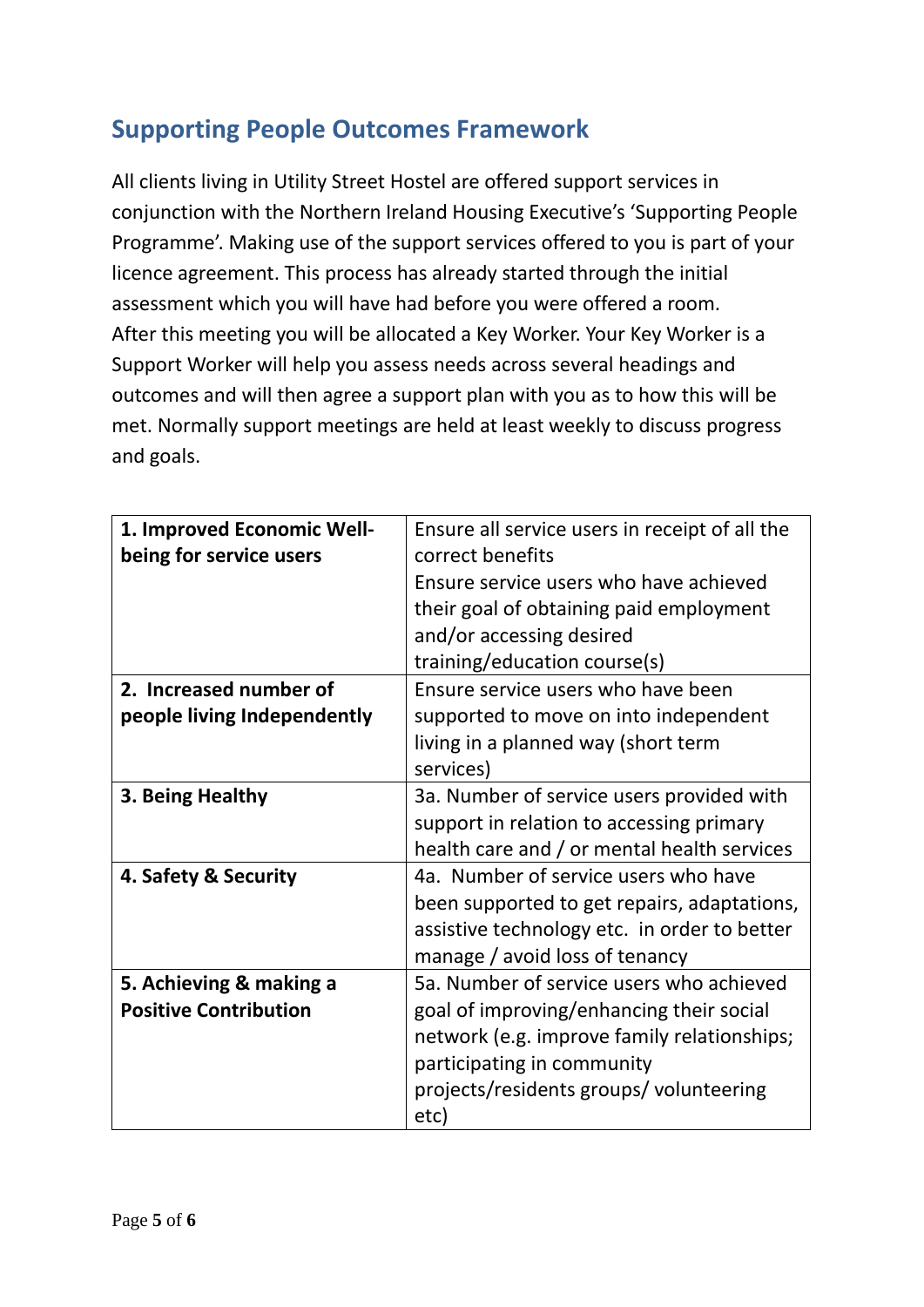## **Supporting People Outcomes Framework**

All clients living in Utility Street Hostel are offered support services in conjunction with the Northern Ireland Housing Executive's 'Supporting People Programme'. Making use of the support services offered to you is part of your licence agreement. This process has already started through the initial assessment which you will have had before you were offered a room. After this meeting you will be allocated a Key Worker. Your Key Worker is a Support Worker will help you assess needs across several headings and outcomes and will then agree a support plan with you as to how this will be met. Normally support meetings are held at least weekly to discuss progress and goals.

| 1. Improved Economic Well-   | Ensure all service users in receipt of all the |
|------------------------------|------------------------------------------------|
| being for service users      | correct benefits                               |
|                              | Ensure service users who have achieved         |
|                              | their goal of obtaining paid employment        |
|                              | and/or accessing desired                       |
|                              | training/education course(s)                   |
| 2. Increased number of       | Ensure service users who have been             |
| people living Independently  | supported to move on into independent          |
|                              | living in a planned way (short term            |
|                              | services)                                      |
| 3. Being Healthy             | 3a. Number of service users provided with      |
|                              | support in relation to accessing primary       |
|                              | health care and / or mental health services    |
| 4. Safety & Security         | 4a. Number of service users who have           |
|                              | been supported to get repairs, adaptations,    |
|                              | assistive technology etc. in order to better   |
|                              | manage / avoid loss of tenancy                 |
| 5. Achieving & making a      | 5a. Number of service users who achieved       |
| <b>Positive Contribution</b> | goal of improving/enhancing their social       |
|                              | network (e.g. improve family relationships;    |
|                              | participating in community                     |
|                              | projects/residents groups/ volunteering        |
|                              | etc)                                           |